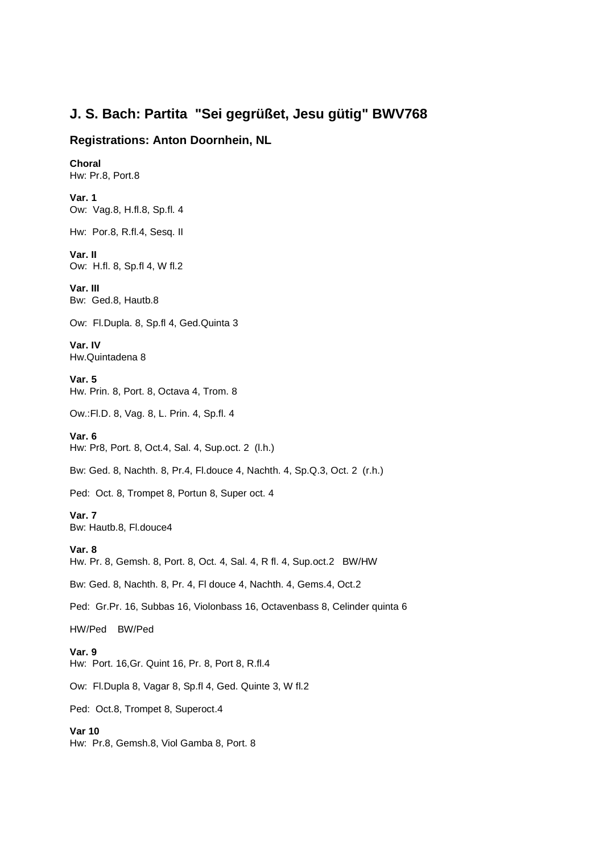## **J. S. Bach: Partita "Sei gegrüßet, Jesu gütig" BWV768**

## **Registrations: Anton Doornhein, NL**

**Choral**  Hw: Pr.8, Port.8 **Var. 1**  Ow: Vag.8, H.fl.8, Sp.fl. 4 Hw: Por.8, R.fl.4, Sesq. II **Var. II**  Ow: H.fl. 8, Sp.fl 4, W fl.2 **Var. III**  Bw: Ged.8, Hautb.8 Ow: Fl.Dupla. 8, Sp.fl 4, Ged.Quinta 3 **Var. IV**  Hw.Quintadena 8 **Var. 5**  Hw. Prin. 8, Port. 8, Octava 4, Trom. 8 Ow.:Fl.D. 8, Vag. 8, L. Prin. 4, Sp.fl. 4 **Var. 6**  Hw: Pr8, Port. 8, Oct.4, Sal. 4, Sup.oct. 2 (l.h.) Bw: Ged. 8, Nachth. 8, Pr.4, Fl.douce 4, Nachth. 4, Sp.Q.3, Oct. 2 (r.h.) Ped: Oct. 8, Trompet 8, Portun 8, Super oct. 4 **Var. 7**  Bw: Hautb.8, Fl.douce4 **Var. 8**  Hw. Pr. 8, Gemsh. 8, Port. 8, Oct. 4, Sal. 4, R fl. 4, Sup.oct.2 BW/HW Bw: Ged. 8, Nachth. 8, Pr. 4, Fl douce 4, Nachth. 4, Gems.4, Oct.2 Ped: Gr.Pr. 16, Subbas 16, Violonbass 16, Octavenbass 8, Celinder quinta 6 HW/Ped BW/Ped **Var. 9**  Hw: Port. 16,Gr. Quint 16, Pr. 8, Port 8, R.fl.4 Ow: Fl.Dupla 8, Vagar 8, Sp.fl 4, Ged. Quinte 3, W fl.2 Ped: Oct.8, Trompet 8, Superoct.4 **Var 10**  Hw: Pr.8, Gemsh.8, Viol Gamba 8, Port. 8